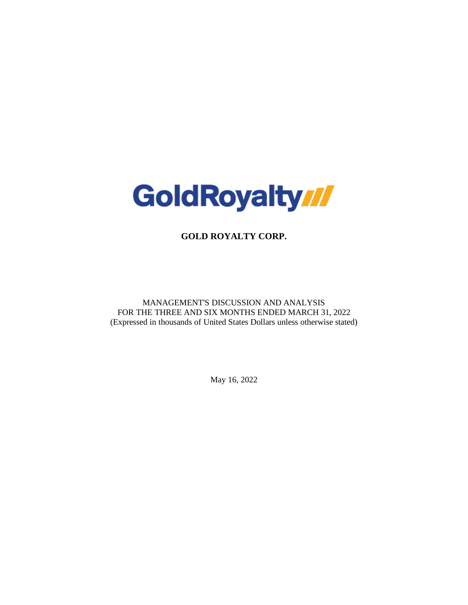

**GOLD ROYALTY CORP.**

MANAGEMENT'S DISCUSSION AND ANALYSIS FOR THE THREE AND SIX MONTHS ENDED MARCH 31, 2022 (Expressed in thousands of United States Dollars unless otherwise stated)

May 16, 2022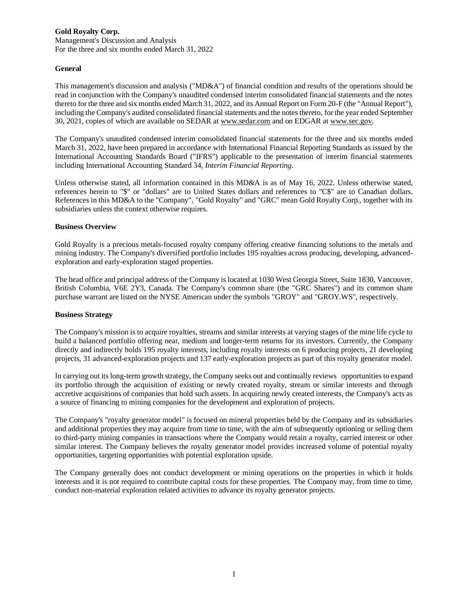Management's Discussion and Analysis For the three and six months ended March 31, 2022

#### **General**

This management's discussion and analysis ("MD&A") of financial condition and results of the operations should be read in conjunction with the Company's unaudited condensed interim consolidated financial statements and the notes thereto for the three and six months ended March 31, 2022, and its Annual Report on Form 20-F (the "Annual Report"), including the Company's audited consolidated financial statements and the notes thereto, for the year ended September 30, 2021, copies of which are available on SEDAR at www.sedar.com and on EDGAR at www.sec.gov.

The Company's unaudited condensed interim consolidated financial statements for the three and six months ended March 31, 2022, have been prepared in accordance with International Financial Reporting Standards as issued by the International Accounting Standards Board ("IFRS") applicable to the presentation of interim financial statements including International Accounting Standard 34, *Interim Financial Reporting*.

Unless otherwise stated, all information contained in this MD&A is as of May 16, 2022. Unless otherwise stated, references herein to "\$" or "dollars" are to United States dollars and references to "C\$" are to Canadian dollars. References in this MD&A to the "Company", "Gold Royalty" and "GRC" mean Gold Royalty Corp., together with its subsidiaries unless the context otherwise requires.

#### **Business Overview**

Gold Royalty is a precious metals-focused royalty company offering creative financing solutions to the metals and mining industry. The Company's diversified portfolio includes 195 royalties across producing, developing, advancedexploration and early-exploration staged properties.

The head office and principal address of the Company is located at 1030 West Georgia Street, Suite 1830, Vancouver, British Columbia, V6E 2Y3, Canada. The Company's common share (the "GRC Shares") and its common share purchase warrant are listed on the NYSE American under the symbols "GROY" and "GROY.WS", respectively.

## **Business Strategy**

The Company's mission is to acquire royalties, streams and similar interests at varying stages of the mine life cycle to build a balanced portfolio offering near, medium and longer-term returns for its investors. Currently, the Company directly and indirectly holds 195 royalty interests, including royalty interests on 6 producing projects, 21 developing projects, 31 advanced-exploration projects and 137 early-exploration projects as part of this royalty generator model.

In carrying out its long-term growth strategy, the Company seeks out and continually reviews opportunities to expand its portfolio through the acquisition of existing or newly created royalty, stream or similar interests and through accretive acquisitions of companies that hold such assets. In acquiring newly created interests, the Company's acts as a source of financing to mining companies for the development and exploration of projects.

The Company's "royalty generator model" is focused on mineral properties held by the Company and its subsidiaries and additional properties they may acquire from time to time, with the aim of subsequently optioning or selling them to third-party mining companies in transactions where the Company would retain a royalty, carried interest or other similar interest. The Company believes the royalty generator model provides increased volume of potential royalty opportunities, targeting opportunities with potential exploration upside.

The Company generally does not conduct development or mining operations on the properties in which it holds interests and it is not required to contribute capital costs for these properties. The Company may, from time to time, conduct non-material exploration related activities to advance its royalty generator projects.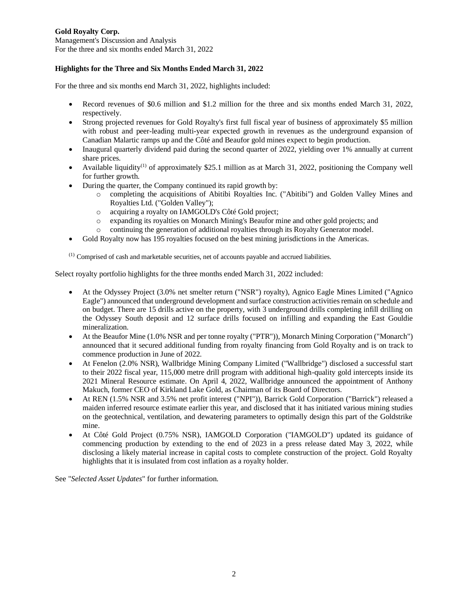Management's Discussion and Analysis For the three and six months ended March 31, 2022

# **Highlights for the Three and Six Months Ended March 31, 2022**

For the three and six months end March 31, 2022, highlights included:

- Record revenues of \$0.6 million and \$1.2 million for the three and six months ended March 31, 2022, respectively.
- Strong projected revenues for Gold Royalty's first full fiscal year of business of approximately \$5 million with robust and peer-leading multi-year expected growth in revenues as the underground expansion of Canadian Malartic ramps up and the Côté and Beaufor gold mines expect to begin production.
- Inaugural quarterly dividend paid during the second quarter of 2022, yielding over 1% annually at current share prices.
- Available liquidity<sup>(1)</sup> of approximately \$25.1 million as at March 31, 2022, positioning the Company well for further growth.
- During the quarter, the Company continued its rapid growth by:
	- o completing the acquisitions of Abitibi Royalties Inc. ("Abitibi") and Golden Valley Mines and Royalties Ltd. ("Golden Valley");
	- o acquiring a royalty on IAMGOLD's Côté Gold project;
	- o expanding its royalties on Monarch Mining's Beaufor mine and other gold projects; and
	- o continuing the generation of additional royalties through its Royalty Generator model.
- Gold Royalty now has 195 royalties focused on the best mining jurisdictions in the Americas.

 $<sup>(1)</sup>$  Comprised of cash and marketable securities, net of accounts payable and accrued liabilities.</sup>

Select royalty portfolio highlights for the three months ended March 31, 2022 included:

- At the Odyssey Project (3.0% net smelter return ("NSR") royalty), Agnico Eagle Mines Limited ("Agnico Eagle") announced that underground development and surface construction activities remain on schedule and on budget. There are 15 drills active on the property, with 3 underground drills completing infill drilling on the Odyssey South deposit and 12 surface drills focused on infilling and expanding the East Gouldie mineralization.
- At the Beaufor Mine (1.0% NSR and per tonne royalty ("PTR")), Monarch Mining Corporation ("Monarch") announced that it secured additional funding from royalty financing from Gold Royalty and is on track to commence production in June of 2022.
- At Fenelon (2.0% NSR), Wallbridge Mining Company Limited ("Wallbridge") disclosed a successful start to their 2022 fiscal year, 115,000 metre drill program with additional high-quality gold intercepts inside its 2021 Mineral Resource estimate. On April 4, 2022, Wallbridge announced the appointment of Anthony Makuch, former CEO of Kirkland Lake Gold, as Chairman of its Board of Directors.
- At REN (1.5% NSR and 3.5% net profit interest ("NPI")), Barrick Gold Corporation ("Barrick") released a maiden inferred resource estimate earlier this year, and disclosed that it has initiated various mining studies on the geotechnical, ventilation, and dewatering parameters to optimally design this part of the Goldstrike mine.
- At Côté Gold Project (0.75% NSR), IAMGOLD Corporation ("IAMGOLD") updated its guidance of commencing production by extending to the end of 2023 in a press release dated May 3, 2022, while disclosing a likely material increase in capital costs to complete construction of the project. Gold Royalty highlights that it is insulated from cost inflation as a royalty holder.

See "*Selected Asset Updates*" for further information.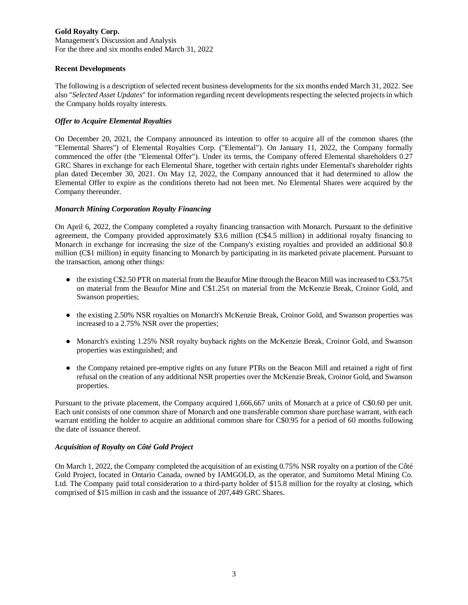Management's Discussion and Analysis For the three and six months ended March 31, 2022

#### **Recent Developments**

The following is a description of selected recent business developments for the six months ended March 31, 2022. See also "*Selected Asset Updates*" for information regarding recent developments respecting the selected projects in which the Company holds royalty interests.

## *Offer to Acquire Elemental Royalties*

On December 20, 2021, the Company announced its intention to offer to acquire all of the common shares (the "Elemental Shares") of Elemental Royalties Corp. ("Elemental"). On January 11, 2022, the Company formally commenced the offer (the "Elemental Offer"). Under its terms, the Company offered Elemental shareholders 0.27 GRC Shares in exchange for each Elemental Share, together with certain rights under Elemental's shareholder rights plan dated December 30, 2021. On May 12, 2022, the Company announced that it had determined to allow the Elemental Offer to expire as the conditions thereto had not been met. No Elemental Shares were acquired by the Company thereunder.

## *Monarch Mining Corporation Royalty Financing*

On April 6, 2022, the Company completed a royalty financing transaction with Monarch. Pursuant to the definitive agreement, the Company provided approximately \$3.6 million (C\$4.5 million) in additional royalty financing to Monarch in exchange for increasing the size of the Company's existing royalties and provided an additional \$0.8 million (C\$1 million) in equity financing to Monarch by participating in its marketed private placement. Pursuant to the transaction, among other things:

- $\bullet$  the existing C\$2.50 PTR on material from the Beaufor Mine through the Beacon Mill was increased to C\$3.75/t on material from the Beaufor Mine and C\$1.25/t on material from the McKenzie Break, Croinor Gold, and Swanson properties;
- the existing 2.50% NSR royalties on Monarch's McKenzie Break, Croinor Gold, and Swanson properties was increased to a 2.75% NSR over the properties;
- Monarch's existing 1.25% NSR royalty buyback rights on the McKenzie Break, Croinor Gold, and Swanson properties was extinguished; and
- the Company retained pre-emptive rights on any future PTRs on the Beacon Mill and retained a right of first refusal on the creation of any additional NSR properties over the McKenzie Break, Croinor Gold, and Swanson properties.

Pursuant to the private placement, the Company acquired 1,666,667 units of Monarch at a price of C\$0.60 per unit. Each unit consists of one common share of Monarch and one transferable common share purchase warrant, with each warrant entitling the holder to acquire an additional common share for C\$0.95 for a period of 60 months following the date of issuance thereof.

## *Acquisition of Royalty on Côté Gold Project*

On March 1, 2022, the Company completed the acquisition of an existing 0.75% NSR royalty on a portion of the Côté Gold Project, located in Ontario Canada, owned by IAMGOLD, as the operator, and Sumitomo Metal Mining Co. Ltd. The Company paid total consideration to a third-party holder of \$15.8 million for the royalty at closing, which comprised of \$15 million in cash and the issuance of 207,449 GRC Shares.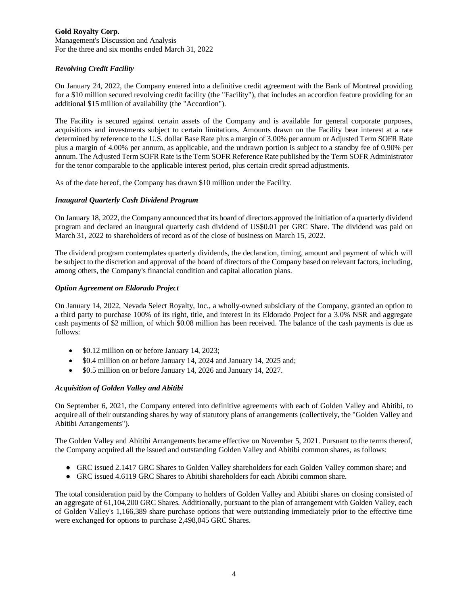Management's Discussion and Analysis For the three and six months ended March 31, 2022

## *Revolving Credit Facility*

On January 24, 2022, the Company entered into a definitive credit agreement with the Bank of Montreal providing for a \$10 million secured revolving credit facility (the "Facility"), that includes an accordion feature providing for an additional \$15 million of availability (the "Accordion").

The Facility is secured against certain assets of the Company and is available for general corporate purposes, acquisitions and investments subject to certain limitations. Amounts drawn on the Facility bear interest at a rate determined by reference to the U.S. dollar Base Rate plus a margin of 3.00% per annum or Adjusted Term SOFR Rate plus a margin of 4.00% per annum, as applicable, and the undrawn portion is subject to a standby fee of 0.90% per annum. The Adjusted Term SOFR Rate is the Term SOFR Reference Rate published by the Term SOFR Administrator for the tenor comparable to the applicable interest period, plus certain credit spread adjustments.

As of the date hereof, the Company has drawn \$10 million under the Facility.

## *Inaugural Quarterly Cash Dividend Program*

On January 18, 2022, the Company announced that its board of directors approved the initiation of a quarterly dividend program and declared an inaugural quarterly cash dividend of US\$0.01 per GRC Share. The dividend was paid on March 31, 2022 to shareholders of record as of the close of business on March 15, 2022.

The dividend program contemplates quarterly dividends, the declaration, timing, amount and payment of which will be subject to the discretion and approval of the board of directors of the Company based on relevant factors, including, among others, the Company's financial condition and capital allocation plans.

#### *Option Agreement on Eldorado Project*

On January 14, 2022, Nevada Select Royalty, Inc., a wholly-owned subsidiary of the Company, granted an option to a third party to purchase 100% of its right, title, and interest in its Eldorado Project for a 3.0% NSR and aggregate cash payments of \$2 million, of which \$0.08 million has been received. The balance of the cash payments is due as follows:

- \$0.12 million on or before January 14, 2023;
- \$0.4 million on or before January 14, 2024 and January 14, 2025 and;
- \$0.5 million on or before January 14, 2026 and January 14, 2027.

## *Acquisition of Golden Valley and Abitibi*

On September 6, 2021, the Company entered into definitive agreements with each of Golden Valley and Abitibi, to acquire all of their outstanding shares by way of statutory plans of arrangements (collectively, the "Golden Valley and Abitibi Arrangements").

The Golden Valley and Abitibi Arrangements became effective on November 5, 2021. Pursuant to the terms thereof, the Company acquired all the issued and outstanding Golden Valley and Abitibi common shares, as follows:

- GRC issued 2.1417 GRC Shares to Golden Valley shareholders for each Golden Valley common share; and
- GRC issued 4.6119 GRC Shares to Abitibi shareholders for each Abitibi common share.

The total consideration paid by the Company to holders of Golden Valley and Abitibi shares on closing consisted of an aggregate of 61,104,200 GRC Shares. Additionally, pursuant to the plan of arrangement with Golden Valley, each of Golden Valley's 1,166,389 share purchase options that were outstanding immediately prior to the effective time were exchanged for options to purchase 2,498,045 GRC Shares.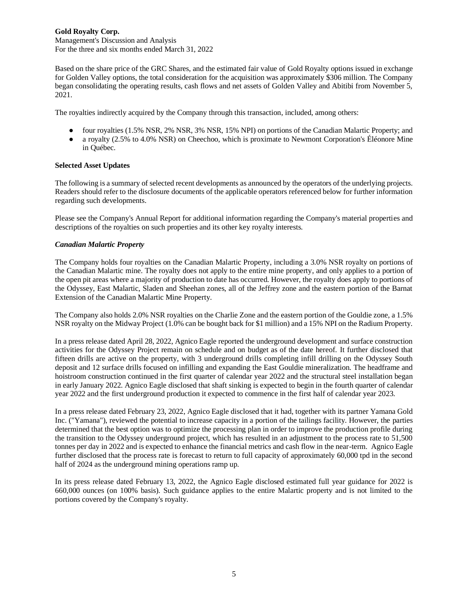Management's Discussion and Analysis For the three and six months ended March 31, 2022

Based on the share price of the GRC Shares, and the estimated fair value of Gold Royalty options issued in exchange for Golden Valley options, the total consideration for the acquisition was approximately \$306 million. The Company began consolidating the operating results, cash flows and net assets of Golden Valley and Abitibi from November 5, 2021.

The royalties indirectly acquired by the Company through this transaction, included, among others:

- four royalties (1.5% NSR, 2% NSR, 3% NSR, 15% NPI) on portions of the Canadian Malartic Property; and
- a royalty (2.5% to 4.0% NSR) on Cheechoo, which is proximate to Newmont Corporation's Éléonore Mine in Québec.

## **Selected Asset Updates**

The following is a summary of selected recent developments as announced by the operators of the underlying projects. Readers should refer to the disclosure documents of the applicable operators referenced below for further information regarding such developments.

Please see the Company's Annual Report for additional information regarding the Company's material properties and descriptions of the royalties on such properties and its other key royalty interests.

## *Canadian Malartic Property*

The Company holds four royalties on the Canadian Malartic Property, including a 3.0% NSR royalty on portions of the Canadian Malartic mine. The royalty does not apply to the entire mine property, and only applies to a portion of the open pit areas where a majority of production to date has occurred. However, the royalty does apply to portions of the Odyssey, East Malartic, Sladen and Sheehan zones, all of the Jeffrey zone and the eastern portion of the Barnat Extension of the Canadian Malartic Mine Property.

The Company also holds 2.0% NSR royalties on the Charlie Zone and the eastern portion of the Gouldie zone, a 1.5% NSR royalty on the Midway Project (1.0% can be bought back for \$1 million) and a 15% NPI on the Radium Property.

In a press release dated April 28, 2022, Agnico Eagle reported the underground development and surface construction activities for the Odyssey Project remain on schedule and on budget as of the date hereof. It further disclosed that fifteen drills are active on the property, with 3 underground drills completing infill drilling on the Odyssey South deposit and 12 surface drills focused on infilling and expanding the East Gouldie mineralization. The headframe and hoistroom construction continued in the first quarter of calendar year 2022 and the structural steel installation began in early January 2022. Agnico Eagle disclosed that shaft sinking is expected to begin in the fourth quarter of calendar year 2022 and the first underground production it expected to commence in the first half of calendar year 2023.

In a press release dated February 23, 2022, Agnico Eagle disclosed that it had, together with its partner Yamana Gold Inc. ("Yamana"), reviewed the potential to increase capacity in a portion of the tailings facility. However, the parties determined that the best option was to optimize the processing plan in order to improve the production profile during the transition to the Odyssey underground project, which has resulted in an adjustment to the process rate to 51,500 tonnes per day in 2022 and is expected to enhance the financial metrics and cash flow in the near-term. Agnico Eagle further disclosed that the process rate is forecast to return to full capacity of approximately 60,000 tpd in the second half of 2024 as the underground mining operations ramp up.

In its press release dated February 13, 2022, the Agnico Eagle disclosed estimated full year guidance for 2022 is 660,000 ounces (on 100% basis). Such guidance applies to the entire Malartic property and is not limited to the portions covered by the Company's royalty.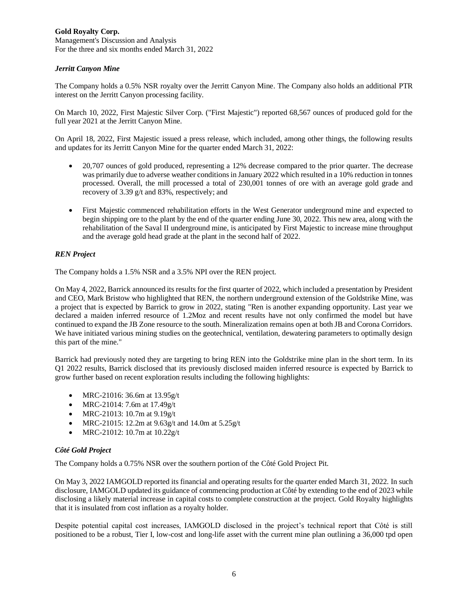Management's Discussion and Analysis For the three and six months ended March 31, 2022

## *Jerritt Canyon Mine*

The Company holds a 0.5% NSR royalty over the Jerritt Canyon Mine. The Company also holds an additional PTR interest on the Jerritt Canyon processing facility.

On March 10, 2022, First Majestic Silver Corp. ("First Majestic") reported 68,567 ounces of produced gold for the full year 2021 at the Jerritt Canyon Mine.

On April 18, 2022, First Majestic issued a press release, which included, among other things, the following results and updates for its Jerritt Canyon Mine for the quarter ended March 31, 2022:

- 20,707 ounces of gold produced, representing a 12% decrease compared to the prior quarter. The decrease was primarily due to adverse weather conditions in January 2022 which resulted in a 10% reduction in tonnes processed. Overall, the mill processed a total of 230,001 tonnes of ore with an average gold grade and recovery of 3.39 g/t and 83%, respectively; and
- First Majestic commenced rehabilitation efforts in the West Generator underground mine and expected to begin shipping ore to the plant by the end of the quarter ending June 30, 2022. This new area, along with the rehabilitation of the Saval II underground mine, is anticipated by First Majestic to increase mine throughput and the average gold head grade at the plant in the second half of 2022.

# *REN Project*

The Company holds a 1.5% NSR and a 3.5% NPI over the REN project.

On May 4, 2022, Barrick announced its results for the first quarter of 2022, which included a presentation by President and CEO, Mark Bristow who highlighted that REN, the northern underground extension of the Goldstrike Mine, was a project that is expected by Barrick to grow in 2022, stating "Ren is another expanding opportunity. Last year we declared a maiden inferred resource of 1.2Moz and recent results have not only confirmed the model but have continued to expand the JB Zone resource to the south. Mineralization remains open at both JB and Corona Corridors. We have initiated various mining studies on the geotechnical, ventilation, dewatering parameters to optimally design this part of the mine."

Barrick had previously noted they are targeting to bring REN into the Goldstrike mine plan in the short term. In its Q1 2022 results, Barrick disclosed that its previously disclosed maiden inferred resource is expected by Barrick to grow further based on recent exploration results including the following highlights:

- MRC-21016: 36.6m at 13.95g/t
- MRC-21014: 7.6m at 17.49g/t
- MRC-21013: 10.7m at 9.19g/t
- MRC-21015: 12.2m at 9.63g/t and 14.0m at 5.25g/t
- MRC-21012: 10.7m at 10.22g/t

## *Côté Gold Project*

The Company holds a 0.75% NSR over the southern portion of the Côté Gold Project Pit.

On May 3, 2022 IAMGOLD reported its financial and operating results for the quarter ended March 31, 2022. In such disclosure, IAMGOLD updated its guidance of commencing production at Côté by extending to the end of 2023 while disclosing a likely material increase in capital costs to complete construction at the project. Gold Royalty highlights that it is insulated from cost inflation as a royalty holder.

Despite potential capital cost increases, IAMGOLD disclosed in the project's technical report that Côté is still positioned to be a robust, Tier I, low-cost and long-life asset with the current mine plan outlining a 36,000 tpd open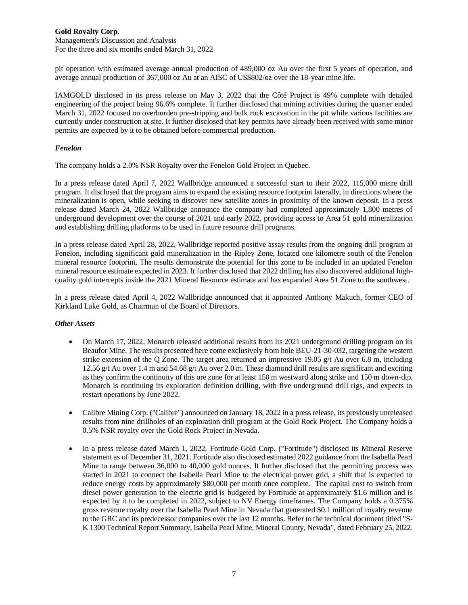Management's Discussion and Analysis For the three and six months ended March 31, 2022

pit operation with estimated average annual production of 489,000 oz Au over the first 5 years of operation, and average annual production of 367,000 oz Au at an AISC of US\$802/oz over the 18-year mine life.

IAMGOLD disclosed in its press release on May 3, 2022 that the Côté Project is 49% complete with detailed engineering of the project being 96.6% complete. It further disclosed that mining activities during the quarter ended March 31, 2022 focused on overburden pre-stripping and bulk rock excavation in the pit while various facilities are currently under construction at site. It further disclosed that key permits have already been received with some minor permits are expected by it to be obtained before commercial production.

## *Fenelon*

The company holds a 2.0% NSR Royalty over the Fenelon Gold Project in Quebec.

In a press release dated April 7, 2022 Wallbridge announced a successful start to their 2022, 115,000 metre drill program. It disclosed that the program aims to expand the existing resource footprint laterally, in directions where the mineralization is open, while seeking to discover new satellite zones in proximity of the known deposit. In a press release dated March 24, 2022 Wallbridge announce the company had completed approximately 1,800 metres of underground development over the course of 2021 and early 2022, providing access to Area 51 gold mineralization and establishing drilling platforms to be used in future resource drill programs.

In a press release dated April 28, 2022, Wallbridge reported positive assay results from the ongoing drill program at Fenelon, including significant gold mineralization in the Ripley Zone, located one kilometre south of the Fenelon mineral resource footprint. The results demonstrate the potential for this zone to be included in an updated Fenelon mineral resource estimate expected in 2023. It further disclosed that 2022 drilling has also discovered additional highquality gold intercepts inside the 2021 Mineral Resource estimate and has expanded Area 51 Zone to the southwest.

In a press release dated April 4, 2022 Wallbridge announced that it appointed Anthony Makuch, former CEO of Kirkland Lake Gold, as Chairman of the Board of Directors.

## *Other Assets*

- On March 17, 2022, Monarch released additional results from its 2021 underground drilling program on its Beaufor Mine. The results presented here come exclusively from hole BEU-21-30-032, targeting the western strike extension of the Q Zone. The target area returned an impressive 19.05 g/t Au over 6.8 m, including 12.56 g/t Au over 1.4 m and 54.68 g/t Au over 2.0 m. These diamond drill results are significant and exciting as they confirm the continuity of this ore zone for at least 150 m westward along strike and 150 m down-dip. Monarch is continuing its exploration definition drilling, with five underground drill rigs, and expects to restart operations by June 2022.
- Calibre Mining Corp. ("Calibre") announced on January 18, 2022 in a press release, its previously unreleased results from nine drillholes of an exploration drill program at the Gold Rock Project. The Company holds a 0.5% NSR royalty over the Gold Rock Project in Nevada.
- In a press release dated March 1, 2022, Fortitude Gold Corp. ("Fortitude") disclosed its Mineral Reserve statement as of December 31, 2021. Fortitude also disclosed estimated 2022 guidance from the Isabella Pearl Mine to range between 36,000 to 40,000 gold ounces. It further disclosed that the permitting process was started in 2021 to connect the Isabella Pearl Mine to the electrical power grid, a shift that is expected to reduce energy costs by approximately \$80,000 per month once complete. The capital cost to switch from diesel power generation to the electric grid is budgeted by Fortitude at approximately \$1.6 million and is expected by it to be completed in 2022, subject to NV Energy timeframes. The Company holds a 0.375% gross revenue royalty over the Isabella Pearl Mine in Nevada that generated \$0.1 million of royalty revenue to the GRC and its predecessor companies over the last 12 months. Refer to the technical document titled "S-K 1300 Technical Report Summary, Isabella Pearl Mine, Mineral County, Nevada", dated February 25, 2022.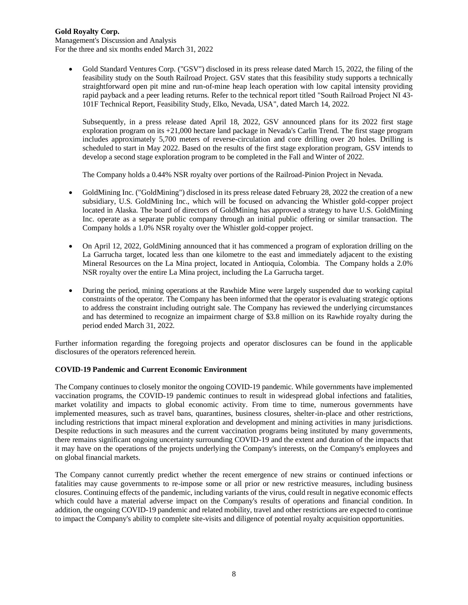Management's Discussion and Analysis For the three and six months ended March 31, 2022

• Gold Standard Ventures Corp. ("GSV") disclosed in its press release dated March 15, 2022, the filing of the feasibility study on the South Railroad Project. GSV states that this feasibility study supports a technically straightforward open pit mine and run-of-mine heap leach operation with low capital intensity providing rapid payback and a peer leading returns. Refer to the technical report titled "South Railroad Project NI 43- 101F Technical Report, Feasibility Study, Elko, Nevada, USA", dated March 14, 2022.

Subsequently, in a press release dated April 18, 2022, GSV announced plans for its 2022 first stage exploration program on its +21,000 hectare land package in Nevada's Carlin Trend. The first stage program includes approximately 5,700 meters of reverse-circulation and core drilling over 20 holes. Drilling is scheduled to start in May 2022. Based on the results of the first stage exploration program, GSV intends to develop a second stage exploration program to be completed in the Fall and Winter of 2022.

The Company holds a 0.44% NSR royalty over portions of the Railroad-Pinion Project in Nevada.

- GoldMining Inc. ("GoldMining") disclosed in its press release dated February 28, 2022 the creation of a new subsidiary, U.S. GoldMining Inc., which will be focused on advancing the Whistler gold-copper project located in Alaska. The board of directors of GoldMining has approved a strategy to have U.S. GoldMining Inc. operate as a separate public company through an initial public offering or similar transaction. The Company holds a 1.0% NSR royalty over the Whistler gold-copper project.
- On April 12, 2022, GoldMining announced that it has commenced a program of exploration drilling on the La Garrucha target, located less than one kilometre to the east and immediately adjacent to the existing Mineral Resources on the La Mina project, located in Antioquia, Colombia. The Company holds a 2.0% NSR royalty over the entire La Mina project, including the La Garrucha target.
- During the period, mining operations at the Rawhide Mine were largely suspended due to working capital constraints of the operator. The Company has been informed that the operator is evaluating strategic options to address the constraint including outright sale. The Company has reviewed the underlying circumstances and has determined to recognize an impairment charge of \$3.8 million on its Rawhide royalty during the period ended March 31, 2022.

Further information regarding the foregoing projects and operator disclosures can be found in the applicable disclosures of the operators referenced herein.

## **COVID-19 Pandemic and Current Economic Environment**

The Company continues to closely monitor the ongoing COVID-19 pandemic. While governments have implemented vaccination programs, the COVID-19 pandemic continues to result in widespread global infections and fatalities, market volatility and impacts to global economic activity. From time to time, numerous governments have implemented measures, such as travel bans, quarantines, business closures, shelter-in-place and other restrictions, including restrictions that impact mineral exploration and development and mining activities in many jurisdictions. Despite reductions in such measures and the current vaccination programs being instituted by many governments, there remains significant ongoing uncertainty surrounding COVID-19 and the extent and duration of the impacts that it may have on the operations of the projects underlying the Company's interests, on the Company's employees and on global financial markets.

The Company cannot currently predict whether the recent emergence of new strains or continued infections or fatalities may cause governments to re-impose some or all prior or new restrictive measures, including business closures. Continuing effects of the pandemic, including variants of the virus, could result in negative economic effects which could have a material adverse impact on the Company's results of operations and financial condition. In addition, the ongoing COVID-19 pandemic and related mobility, travel and other restrictions are expected to continue to impact the Company's ability to complete site-visits and diligence of potential royalty acquisition opportunities.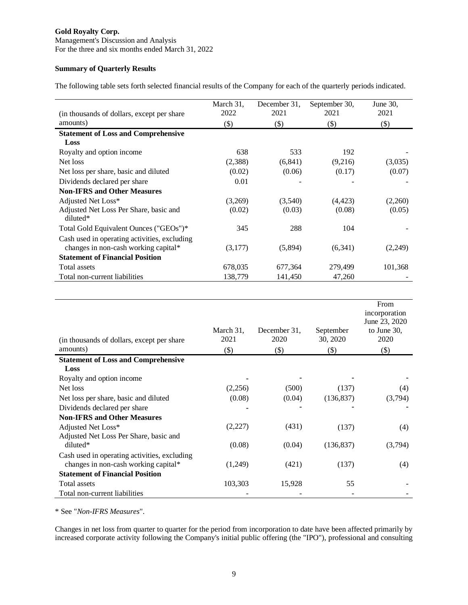Management's Discussion and Analysis For the three and six months ended March 31, 2022

# **Summary of Quarterly Results**

The following table sets forth selected financial results of the Company for each of the quarterly periods indicated.

| (in thousands of dollars, except per share)                                          | March 31,<br>2022 | December 31,<br>2021 | September 30,<br>2021 | June 30,<br>2021 |
|--------------------------------------------------------------------------------------|-------------------|----------------------|-----------------------|------------------|
| amounts)                                                                             | $($ \$            | $(\$)$               | $(\$)$                | $(\$)$           |
| <b>Statement of Loss and Comprehensive</b>                                           |                   |                      |                       |                  |
| Loss                                                                                 |                   |                      |                       |                  |
| Royalty and option income                                                            | 638               | 533                  | 192                   |                  |
| Net loss                                                                             | (2,388)           | (6, 841)             | (9,216)               | (3,035)          |
| Net loss per share, basic and diluted                                                | (0.02)            | (0.06)               | (0.17)                | (0.07)           |
| Dividends declared per share                                                         | 0.01              |                      |                       |                  |
| <b>Non-IFRS and Other Measures</b>                                                   |                   |                      |                       |                  |
| Adjusted Net Loss*                                                                   | (3,269)           | (3,540)              | (4, 423)              | (2,260)          |
| Adjusted Net Loss Per Share, basic and<br>diluted*                                   | (0.02)            | (0.03)               | (0.08)                | (0.05)           |
| Total Gold Equivalent Ounces ("GEOs")*                                               | 345               | 288                  | 104                   |                  |
| Cash used in operating activities, excluding<br>changes in non-cash working capital* | (3,177)           | (5,894)              | (6,341)               | (2,249)          |
| <b>Statement of Financial Position</b>                                               |                   |                      |                       |                  |
| Total assets                                                                         | 678,035           | 677,364              | 279,499               | 101,368          |
| Total non-current liabilities                                                        | 138,779           | 141,450              | 47,260                |                  |

| (in thousands of dollars, except per share<br>amounts) | March 31,<br>2021<br>$(\$)$ | December 31.<br>2020<br>$(\$)$ | September<br>30, 2020<br>$($ \$) | From<br>incorporation<br>June 23, 2020<br>to June 30,<br>2020<br>$($ \$ |
|--------------------------------------------------------|-----------------------------|--------------------------------|----------------------------------|-------------------------------------------------------------------------|
| <b>Statement of Loss and Comprehensive</b>             |                             |                                |                                  |                                                                         |
| Loss                                                   |                             |                                |                                  |                                                                         |
| Royalty and option income                              |                             |                                |                                  |                                                                         |
| Net loss                                               | (2,256)                     | (500)                          | (137)                            | (4)                                                                     |
| Net loss per share, basic and diluted                  | (0.08)                      | (0.04)                         | (136, 837)                       | (3,794)                                                                 |
| Dividends declared per share                           |                             |                                |                                  |                                                                         |
| <b>Non-IFRS and Other Measures</b>                     |                             |                                |                                  |                                                                         |
| Adjusted Net Loss*                                     | (2,227)                     | (431)                          | (137)                            | (4)                                                                     |
| Adjusted Net Loss Per Share, basic and                 |                             |                                |                                  |                                                                         |
| diluted*                                               | (0.08)                      | (0.04)                         | (136, 837)                       | (3,794)                                                                 |
| Cash used in operating activities, excluding           |                             |                                |                                  |                                                                         |
| changes in non-cash working capital*                   | (1,249)                     | (421)                          | (137)                            | (4)                                                                     |
| <b>Statement of Financial Position</b>                 |                             |                                |                                  |                                                                         |
| Total assets                                           | 103,303                     | 15,928                         | 55                               |                                                                         |
| Total non-current liabilities                          |                             |                                |                                  |                                                                         |

\* See "*Non-IFRS Measures*".

Changes in net loss from quarter to quarter for the period from incorporation to date have been affected primarily by increased corporate activity following the Company's initial public offering (the "IPO"), professional and consulting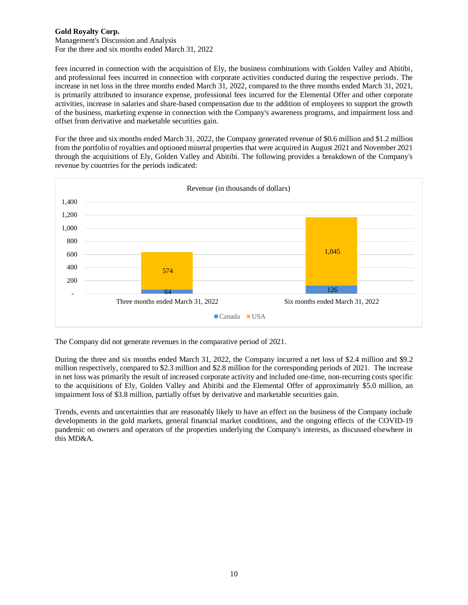Management's Discussion and Analysis For the three and six months ended March 31, 2022

fees incurred in connection with the acquisition of Ely, the business combinations with Golden Valley and Abitibi, and professional fees incurred in connection with corporate activities conducted during the respective periods. The increase in net loss in the three months ended March 31, 2022, compared to the three months ended March 31, 2021, is primarily attributed to insurance expense, professional fees incurred for the Elemental Offer and other corporate activities, increase in salaries and share-based compensation due to the addition of employees to support the growth of the business, marketing expense in connection with the Company's awareness programs, and impairment loss and offset from derivative and marketable securities gain.

For the three and six months ended March 31, 2022, the Company generated revenue of \$0.6 million and \$1.2 million from the portfolio of royalties and optioned mineral properties that were acquired in August 2021 and November 2021 through the acquisitions of Ely, Golden Valley and Abitibi. The following provides a breakdown of the Company's revenue by countries for the periods indicated:



The Company did not generate revenues in the comparative period of 2021.

During the three and six months ended March 31, 2022, the Company incurred a net loss of \$2.4 million and \$9.2 million respectively, compared to \$2.3 million and \$2.8 million for the corresponding periods of 2021. The increase in net loss was primarily the result of increased corporate activity and included one-time, non-recurring costs specific to the acquisitions of Ely, Golden Valley and Abitibi and the Elemental Offer of approximately \$5.0 million, an impairment loss of \$3.8 million, partially offset by derivative and marketable securities gain.

Trends, events and uncertainties that are reasonably likely to have an effect on the business of the Company include developments in the gold markets, general financial market conditions, and the ongoing effects of the COVID-19 pandemic on owners and operators of the properties underlying the Company's interests, as discussed elsewhere in this MD&A.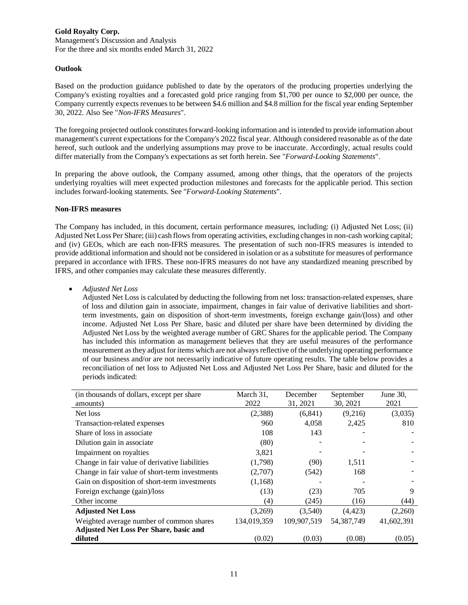Management's Discussion and Analysis For the three and six months ended March 31, 2022

### **Outlook**

Based on the production guidance published to date by the operators of the producing properties underlying the Company's existing royalties and a forecasted gold price ranging from \$1,700 per ounce to \$2,000 per ounce, the Company currently expects revenues to be between \$4.6 million and \$4.8 million for the fiscal year ending September 30, 2022. Also See "*Non-IFRS Measures*".

The foregoing projected outlook constitutes forward-looking information and is intended to provide information about management's current expectations for the Company's 2022 fiscal year. Although considered reasonable as of the date hereof, such outlook and the underlying assumptions may prove to be inaccurate. Accordingly, actual results could differ materially from the Company's expectations as set forth herein. See "*Forward-Looking Statements*".

In preparing the above outlook, the Company assumed, among other things, that the operators of the projects underlying royalties will meet expected production milestones and forecasts for the applicable period. This section includes forward-looking statements. See "*Forward-Looking Statements*".

#### **Non-IFRS measures**

The Company has included, in this document, certain performance measures, including: (i) Adjusted Net Loss; (ii) Adjusted Net Loss Per Share; (iii) cash flows from operating activities, excluding changes in non-cash working capital; and (iv) GEOs, which are each non-IFRS measures. The presentation of such non-IFRS measures is intended to provide additional information and should not be considered in isolation or as a substitute for measures of performance prepared in accordance with IFRS. These non-IFRS measures do not have any standardized meaning prescribed by IFRS, and other companies may calculate these measures differently.

• *Adjusted Net Loss*

Adjusted Net Loss is calculated by deducting the following from net loss: transaction-related expenses, share of loss and dilution gain in associate, impairment, changes in fair value of derivative liabilities and shortterm investments, gain on disposition of short-term investments, foreign exchange gain/(loss) and other income. Adjusted Net Loss Per Share, basic and diluted per share have been determined by dividing the Adjusted Net Loss by the weighted average number of GRC Shares for the applicable period. The Company has included this information as management believes that they are useful measures of the performance measurement asthey adjust for items which are not always reflective of the underlying operating performance of our business and/or are not necessarily indicative of future operating results. The table below provides a reconciliation of net loss to Adjusted Net Loss and Adjusted Net Loss Per Share, basic and diluted for the periods indicated:

| (in thousands of dollars, except per share)    | March 31,   | December    | September    | June 30,   |
|------------------------------------------------|-------------|-------------|--------------|------------|
| amounts)                                       | 2022        | 31, 2021    | 30, 2021     | 2021       |
| Net loss                                       | (2,388)     | (6, 841)    | (9,216)      | (3,035)    |
| Transaction-related expenses                   | 960         | 4,058       | 2,425        | 810        |
| Share of loss in associate                     | 108         | 143         |              |            |
| Dilution gain in associate                     | (80)        |             |              |            |
| Impairment on royalties                        | 3,821       |             |              |            |
| Change in fair value of derivative liabilities | (1,798)     | (90)        | 1,511        |            |
| Change in fair value of short-term investments | (2,707)     | (542)       | 168          |            |
| Gain on disposition of short-term investments  | (1,168)     |             |              |            |
| Foreign exchange (gain)/loss                   | (13)        | (23)        | 705          | 9          |
| Other income                                   | (4)         | (245)       | (16)         | (44)       |
| <b>Adjusted Net Loss</b>                       | (3,269)     | (3,540)     | (4, 423)     | (2,260)    |
| Weighted average number of common shares       | 134,019,359 | 109,907,519 | 54, 387, 749 | 41,602,391 |
| Adjusted Net Loss Per Share, basic and         |             |             |              |            |
| diluted                                        | (0.02)      | (0.03)      | (0.08)       | (0.05)     |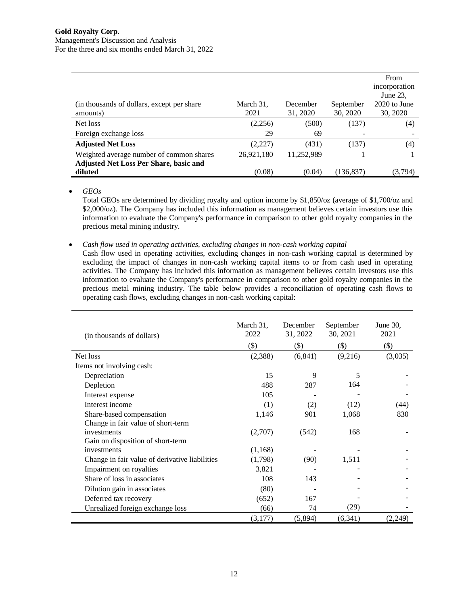#### **Gold Royalty Corp.** Management's Discussion and Analysis For the three and six months ended March 31, 2022

|                                               |            |            |           | From          |
|-----------------------------------------------|------------|------------|-----------|---------------|
|                                               |            |            |           | incorporation |
|                                               |            |            |           | June 23,      |
| (in thousands of dollars, except per share)   | March 31,  | December   | September | 2020 to June  |
| amounts)                                      | 2021       | 31, 2020   | 30, 2020  | 30, 2020      |
| Net loss                                      | (2,256)    | (500)      | (137)     | (4)           |
| Foreign exchange loss                         | 29         | 69         |           |               |
| <b>Adjusted Net Loss</b>                      | (2,227)    | (431)      | (137)     | (4)           |
| Weighted average number of common shares      | 26,921,180 | 11,252,989 |           |               |
| <b>Adjusted Net Loss Per Share, basic and</b> |            |            |           |               |
| diluted                                       | (0.08)     | (0.04)     | (136,837) | (3,794)       |

• *GEOs*

Total GEOs are determined by dividing royalty and option income by \$1,850/oz (average of \$1,700/oz and \$2,000/oz). The Company has included this information as management believes certain investors use this information to evaluate the Company's performance in comparison to other gold royalty companies in the precious metal mining industry.

#### • *Cash flow used in operating activities, excluding changes in non-cash working capital*

Cash flow used in operating activities, excluding changes in non-cash working capital is determined by excluding the impact of changes in non-cash working capital items to or from cash used in operating activities. The Company has included this information as management believes certain investors use this information to evaluate the Company's performance in comparison to other gold royalty companies in the precious metal mining industry. The table below provides a reconciliation of operating cash flows to operating cash flows, excluding changes in non-cash working capital:

| (in thousands of dollars)                      | March 31,<br>2022 | December<br>31, 2022 | September<br>30, 2021 | June $30$ ,<br>2021 |
|------------------------------------------------|-------------------|----------------------|-----------------------|---------------------|
|                                                | $($ \$)           | $($ \$               | $(\boldsymbol{\$})$   | $($ \$)             |
| Net loss                                       | (2,388)           | (6, 841)             | (9,216)               | (3,035)             |
| Items not involving cash:                      |                   |                      |                       |                     |
| Depreciation                                   | 15                | 9                    | 5                     |                     |
| Depletion                                      | 488               | 287                  | 164                   |                     |
| Interest expense                               | 105               |                      |                       |                     |
| Interest income                                | (1)               | (2)                  | (12)                  | (44)                |
| Share-based compensation                       | 1,146             | 901                  | 1,068                 | 830                 |
| Change in fair value of short-term             |                   |                      |                       |                     |
| investments                                    | (2,707)           | (542)                | 168                   |                     |
| Gain on disposition of short-term              |                   |                      |                       |                     |
| investments                                    | (1,168)           |                      |                       |                     |
| Change in fair value of derivative liabilities | (1,798)           | (90)                 | 1,511                 |                     |
| Impairment on royalties                        | 3,821             |                      |                       |                     |
| Share of loss in associates                    | 108               | 143                  |                       |                     |
| Dilution gain in associates                    | (80)              |                      |                       |                     |
| Deferred tax recovery                          | (652)             | 167                  |                       |                     |
| Unrealized foreign exchange loss               | (66)              | 74                   | (29)                  |                     |
|                                                | (3,177)           | (5,894)              | (6, 341)              | (2,249)             |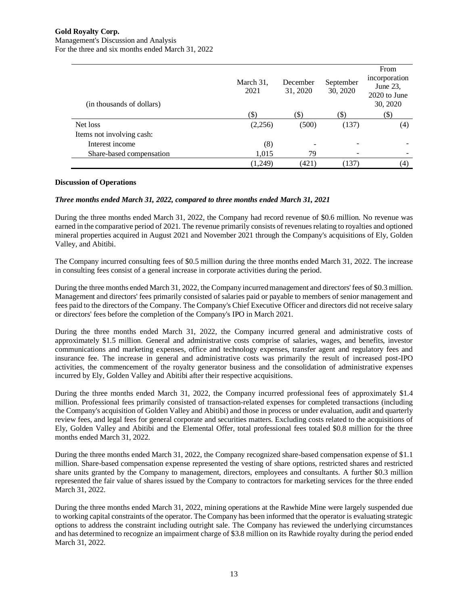Management's Discussion and Analysis For the three and six months ended March 31, 2022

| (in thousands of dollars) | March 31,<br>2021 | December<br>31, 2020 | September<br>30, 2020 | From<br>incorporation<br>June 23,<br>2020 to June<br>30, 2020 |
|---------------------------|-------------------|----------------------|-----------------------|---------------------------------------------------------------|
|                           | (S)               | $(\$)$               | (\$)                  | \$)                                                           |
| Net loss                  | (2,256)           | (500)                | (137)                 | (4)                                                           |
| Items not involving cash: |                   |                      |                       |                                                               |
| Interest income           | (8)               |                      |                       |                                                               |
| Share-based compensation  | 1,015             | 79                   | ۰                     |                                                               |
|                           | (1,249)           | (421)                | (137)                 | (4)                                                           |

## **Discussion of Operations**

## *Three months ended March 31, 2022, compared to three months ended March 31, 2021*

During the three months ended March 31, 2022, the Company had record revenue of \$0.6 million. No revenue was earned in the comparative period of 2021. The revenue primarily consists of revenues relating to royalties and optioned mineral properties acquired in August 2021 and November 2021 through the Company's acquisitions of Ely, Golden Valley, and Abitibi.

The Company incurred consulting fees of \$0.5 million during the three months ended March 31, 2022. The increase in consulting fees consist of a general increase in corporate activities during the period.

During the three months ended March 31, 2022, the Company incurred management and directors' fees of \$0.3 million. Management and directors' fees primarily consisted of salaries paid or payable to members of senior management and fees paid to the directors of the Company. The Company's Chief Executive Officer and directors did not receive salary or directors' fees before the completion of the Company's IPO in March 2021.

During the three months ended March 31, 2022, the Company incurred general and administrative costs of approximately \$1.5 million. General and administrative costs comprise of salaries, wages, and benefits, investor communications and marketing expenses, office and technology expenses, transfer agent and regulatory fees and insurance fee. The increase in general and administrative costs was primarily the result of increased post-IPO activities, the commencement of the royalty generator business and the consolidation of administrative expenses incurred by Ely, Golden Valley and Abitibi after their respective acquisitions.

During the three months ended March 31, 2022, the Company incurred professional fees of approximately \$1.4 million. Professional fees primarily consisted of transaction-related expenses for completed transactions (including the Company's acquisition of Golden Valley and Abitibi) and those in process or under evaluation, audit and quarterly review fees, and legal fees for general corporate and securities matters. Excluding costs related to the acquisitions of Ely, Golden Valley and Abitibi and the Elemental Offer, total professional fees totaled \$0.8 million for the three months ended March 31, 2022.

During the three months ended March 31, 2022, the Company recognized share-based compensation expense of \$1.1 million. Share-based compensation expense represented the vesting of share options, restricted shares and restricted share units granted by the Company to management, directors, employees and consultants. A further \$0.3 million represented the fair value of shares issued by the Company to contractors for marketing services for the three ended March 31, 2022.

During the three months ended March 31, 2022, mining operations at the Rawhide Mine were largely suspended due to working capital constraints of the operator. The Company has been informed that the operator is evaluating strategic options to address the constraint including outright sale. The Company has reviewed the underlying circumstances and has determined to recognize an impairment charge of \$3.8 million on its Rawhide royalty during the period ended March 31, 2022.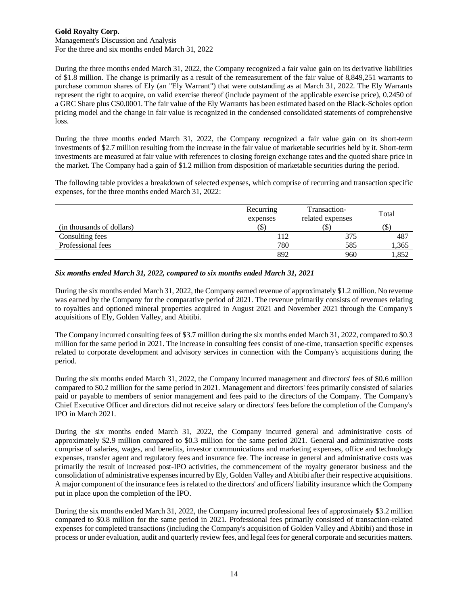Management's Discussion and Analysis For the three and six months ended March 31, 2022

During the three months ended March 31, 2022, the Company recognized a fair value gain on its derivative liabilities of \$1.8 million. The change is primarily as a result of the remeasurement of the fair value of 8,849,251 warrants to purchase common shares of Ely (an "Ely Warrant") that were outstanding as at March 31, 2022. The Ely Warrants represent the right to acquire, on valid exercise thereof (include payment of the applicable exercise price), 0.2450 of a GRC Share plus C\$0.0001. The fair value of the Ely Warrants has been estimated based on the Black-Scholes option pricing model and the change in fair value is recognized in the condensed consolidated statements of comprehensive loss.

During the three months ended March 31, 2022, the Company recognized a fair value gain on its short-term investments of \$2.7 million resulting from the increase in the fair value of marketable securities held by it. Short-term investments are measured at fair value with references to closing foreign exchange rates and the quoted share price in the market. The Company had a gain of \$1.2 million from disposition of marketable securities during the period.

The following table provides a breakdown of selected expenses, which comprise of recurring and transaction specific expenses, for the three months ended March 31, 2022:

|                           | Recurring<br>expenses | Transaction-<br>related expenses | Total |
|---------------------------|-----------------------|----------------------------------|-------|
| (in thousands of dollars) |                       |                                  |       |
| Consulting fees           | 112                   | 375                              | 487   |
| Professional fees         | 780                   | 585                              | 1,365 |
|                           | 892                   | 960                              | 1,852 |

## *Six months ended March 31, 2022, compared to six months ended March 31, 2021*

During the six months ended March 31, 2022, the Company earned revenue of approximately \$1.2 million. No revenue was earned by the Company for the comparative period of 2021. The revenue primarily consists of revenues relating to royalties and optioned mineral properties acquired in August 2021 and November 2021 through the Company's acquisitions of Ely, Golden Valley, and Abitibi.

The Company incurred consulting fees of \$3.7 million during the six months ended March 31, 2022, compared to \$0.3 million for the same period in 2021. The increase in consulting fees consist of one-time, transaction specific expenses related to corporate development and advisory services in connection with the Company's acquisitions during the period.

During the six months ended March 31, 2022, the Company incurred management and directors' fees of \$0.6 million compared to \$0.2 million for the same period in 2021. Management and directors' fees primarily consisted of salaries paid or payable to members of senior management and fees paid to the directors of the Company. The Company's Chief Executive Officer and directors did not receive salary or directors' fees before the completion of the Company's IPO in March 2021.

During the six months ended March 31, 2022, the Company incurred general and administrative costs of approximately \$2.9 million compared to \$0.3 million for the same period 2021. General and administrative costs comprise of salaries, wages, and benefits, investor communications and marketing expenses, office and technology expenses, transfer agent and regulatory fees and insurance fee. The increase in general and administrative costs was primarily the result of increased post-IPO activities, the commencement of the royalty generator business and the consolidation of administrative expenses incurred by Ely, Golden Valley and Abitibi after their respective acquisitions. A major component of the insurance fees is related to the directors' and officers' liability insurance which the Company put in place upon the completion of the IPO.

During the six months ended March 31, 2022, the Company incurred professional fees of approximately \$3.2 million compared to \$0.8 million for the same period in 2021. Professional fees primarily consisted of transaction-related expenses for completed transactions (including the Company's acquisition of Golden Valley and Abitibi) and those in process or under evaluation, audit and quarterly review fees, and legal fees for general corporate and securities matters.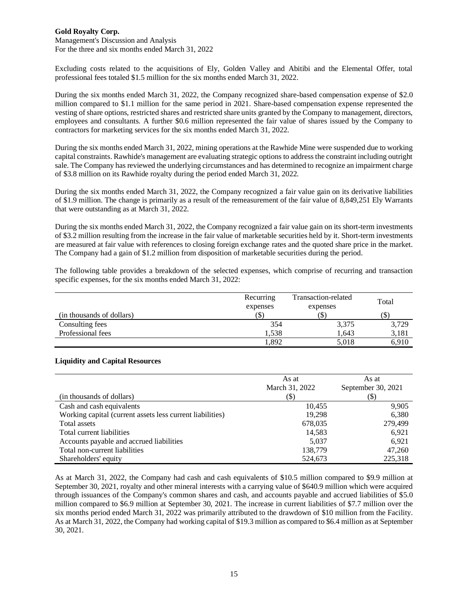Management's Discussion and Analysis For the three and six months ended March 31, 2022

Excluding costs related to the acquisitions of Ely, Golden Valley and Abitibi and the Elemental Offer, total professional fees totaled \$1.5 million for the six months ended March 31, 2022.

During the six months ended March 31, 2022, the Company recognized share-based compensation expense of \$2.0 million compared to \$1.1 million for the same period in 2021. Share-based compensation expense represented the vesting of share options, restricted shares and restricted share units granted by the Company to management, directors, employees and consultants. A further \$0.6 million represented the fair value of shares issued by the Company to contractors for marketing services for the six months ended March 31, 2022.

During the six months ended March 31, 2022, mining operations at the Rawhide Mine were suspended due to working capital constraints. Rawhide's management are evaluating strategic options to address the constraint including outright sale. The Company has reviewed the underlying circumstances and has determined to recognize an impairment charge of \$3.8 million on its Rawhide royalty during the period ended March 31, 2022.

During the six months ended March 31, 2022, the Company recognized a fair value gain on its derivative liabilities of \$1.9 million. The change is primarily as a result of the remeasurement of the fair value of 8,849,251 Ely Warrants that were outstanding as at March 31, 2022.

During the six months ended March 31, 2022, the Company recognized a fair value gain on its short-term investments of \$3.2 million resulting from the increase in the fair value of marketable securities held by it. Short-term investments are measured at fair value with references to closing foreign exchange rates and the quoted share price in the market. The Company had a gain of \$1.2 million from disposition of marketable securities during the period.

The following table provides a breakdown of the selected expenses, which comprise of recurring and transaction specific expenses, for the six months ended March 31, 2022:

|                           | Recurring<br>expenses | Transaction-related<br>expenses |       |
|---------------------------|-----------------------|---------------------------------|-------|
| (in thousands of dollars) | (\$)                  | IЭ.                             | ιυD   |
| Consulting fees           | 354                   | 3,375                           | 3,729 |
| Professional fees         | 1.538                 | 1.643                           | 3,181 |
|                           | .892                  | 5.018                           | 6.910 |

#### **Liquidity and Capital Resources**

|                                                           | As at<br>March 31, 2022 | As at<br>September 30, 2021 |
|-----------------------------------------------------------|-------------------------|-----------------------------|
| (in thousands of dollars)                                 | (\$)                    | (\$)                        |
| Cash and cash equivalents                                 | 10,455                  | 9,905                       |
| Working capital (current assets less current liabilities) | 19,298                  | 6,380                       |
| Total assets                                              | 678,035                 | 279,499                     |
| Total current liabilities                                 | 14,583                  | 6.921                       |
| Accounts payable and accrued liabilities                  | 5,037                   | 6,921                       |
| Total non-current liabilities                             | 138,779                 | 47,260                      |
| Shareholders' equity                                      | 524,673                 | 225.318                     |

As at March 31, 2022, the Company had cash and cash equivalents of \$10.5 million compared to \$9.9 million at September 30, 2021, royalty and other mineral interests with a carrying value of \$640.9 million which were acquired through issuances of the Company's common shares and cash, and accounts payable and accrued liabilities of \$5.0 million compared to \$6.9 million at September 30, 2021. The increase in current liabilities of \$7.7 million over the six months period ended March 31, 2022 was primarily attributed to the drawdown of \$10 million from the Facility. As at March 31, 2022, the Company had working capital of \$19.3 million as compared to \$6.4 million as at September 30, 2021.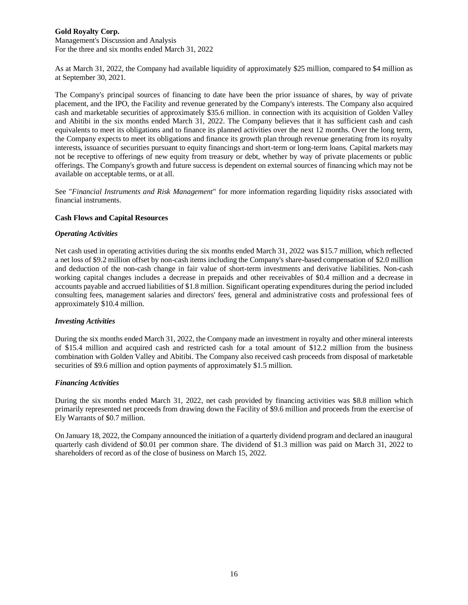Management's Discussion and Analysis For the three and six months ended March 31, 2022

As at March 31, 2022, the Company had available liquidity of approximately \$25 million, compared to \$4 million as at September 30, 2021.

The Company's principal sources of financing to date have been the prior issuance of shares, by way of private placement, and the IPO, the Facility and revenue generated by the Company's interests. The Company also acquired cash and marketable securities of approximately \$35.6 million. in connection with its acquisition of Golden Valley and Abitibi in the six months ended March 31, 2022. The Company believes that it has sufficient cash and cash equivalents to meet its obligations and to finance its planned activities over the next 12 months. Over the long term, the Company expects to meet its obligations and finance its growth plan through revenue generating from its royalty interests, issuance of securities pursuant to equity financings and short-term or long-term loans. Capital markets may not be receptive to offerings of new equity from treasury or debt, whether by way of private placements or public offerings. The Company's growth and future success is dependent on external sources of financing which may not be available on acceptable terms, or at all.

See "*Financial Instruments and Risk Management*" for more information regarding liquidity risks associated with financial instruments.

#### **Cash Flows and Capital Resources**

#### *Operating Activities*

Net cash used in operating activities during the six months ended March 31, 2022 was \$15.7 million, which reflected a net loss of \$9.2 million offset by non-cash items including the Company's share-based compensation of \$2.0 million and deduction of the non-cash change in fair value of short-term investments and derivative liabilities. Non-cash working capital changes includes a decrease in prepaids and other receivables of \$0.4 million and a decrease in accounts payable and accrued liabilities of \$1.8 million. Significant operating expenditures during the period included consulting fees, management salaries and directors' fees, general and administrative costs and professional fees of approximately \$10.4 million.

#### *Investing Activities*

During the six months ended March 31, 2022, the Company made an investment in royalty and other mineral interests of \$15.4 million and acquired cash and restricted cash for a total amount of \$12.2 million from the business combination with Golden Valley and Abitibi. The Company also received cash proceeds from disposal of marketable securities of \$9.6 million and option payments of approximately \$1.5 million.

#### *Financing Activities*

During the six months ended March 31, 2022, net cash provided by financing activities was \$8.8 million which primarily represented net proceeds from drawing down the Facility of \$9.6 million and proceeds from the exercise of Ely Warrants of \$0.7 million.

On January 18, 2022, the Company announced the initiation of a quarterly dividend program and declared an inaugural quarterly cash dividend of \$0.01 per common share. The dividend of \$1.3 million was paid on March 31, 2022 to shareholders of record as of the close of business on March 15, 2022.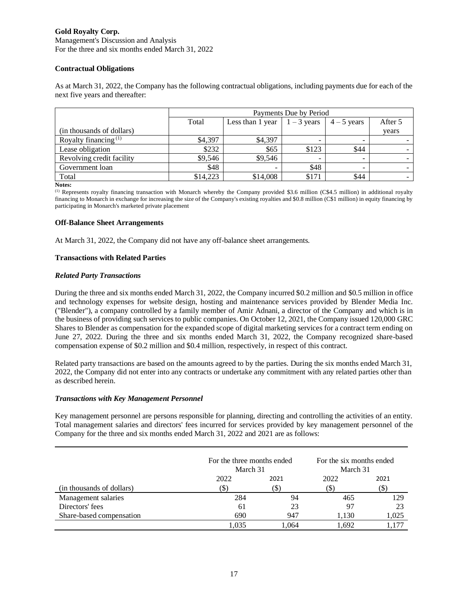Management's Discussion and Analysis For the three and six months ended March 31, 2022

## **Contractual Obligations**

As at March 31, 2022, the Company has the following contractual obligations, including payments due for each of the next five years and thereafter:

|                           | Payments Due by Period |                |                                      |             |         |  |
|---------------------------|------------------------|----------------|--------------------------------------|-------------|---------|--|
|                           | Total                  |                | Less than 1 year $\vert$ 1 – 3 years | $4-5$ years | After 5 |  |
| (in thousands of dollars) |                        |                |                                      |             | years   |  |
| Royalty financing $(1)$   | \$4.397                | \$4,397        |                                      | -           |         |  |
| Lease obligation          | \$232                  | \$65           | \$123                                | \$44        |         |  |
| Revolving credit facility | \$9,546                | \$9,546        |                                      | ۰           |         |  |
| Government loan           | \$48                   | $\blacksquare$ | \$48                                 | -           |         |  |
| Total                     | \$14,223               | \$14,008       | \$171                                | \$44        |         |  |

**Notes:**

(1) Represents royalty financing transaction with Monarch whereby the Company provided \$3.6 million (C\$4.5 million) in additional royalty financing to Monarch in exchange for increasing the size of the Company's existing royalties and \$0.8 million (C\$1 million) in equity financing by participating in Monarch's marketed private placement

## **Off-Balance Sheet Arrangements**

At March 31, 2022, the Company did not have any off-balance sheet arrangements.

# **Transactions with Related Parties**

## *Related Party Transactions*

During the three and six months ended March 31, 2022, the Company incurred \$0.2 million and \$0.5 million in office and technology expenses for website design, hosting and maintenance services provided by Blender Media Inc. ("Blender"), a company controlled by a family member of Amir Adnani, a director of the Company and which is in the business of providing such services to public companies. On October 12, 2021, the Company issued 120,000 GRC Shares to Blender as compensation for the expanded scope of digital marketing services for a contract term ending on June 27, 2022. During the three and six months ended March 31, 2022, the Company recognized share-based compensation expense of \$0.2 million and \$0.4 million, respectively, in respect of this contract.

Related party transactions are based on the amounts agreed to by the parties. During the six months ended March 31, 2022, the Company did not enter into any contracts or undertake any commitment with any related parties other than as described herein.

## *Transactions with Key Management Personnel*

Key management personnel are persons responsible for planning, directing and controlling the activities of an entity. Total management salaries and directors' fees incurred for services provided by key management personnel of the Company for the three and six months ended March 31, 2022 and 2021 are as follows:

|                           | For the three months ended<br>March 31 |       | For the six months ended<br>March 31 |       |
|---------------------------|----------------------------------------|-------|--------------------------------------|-------|
|                           | 2022                                   | 2021  |                                      | 2021  |
| (in thousands of dollars) |                                        | 15    | (S)                                  | S.    |
| Management salaries       | 284                                    | 94    | 465                                  | 129   |
| Directors' fees           | 61                                     | 23    | 97                                   | 23    |
| Share-based compensation  | 690                                    | 947   | 1,130                                | 1,025 |
|                           | .035                                   | 1.064 | 1.692                                |       |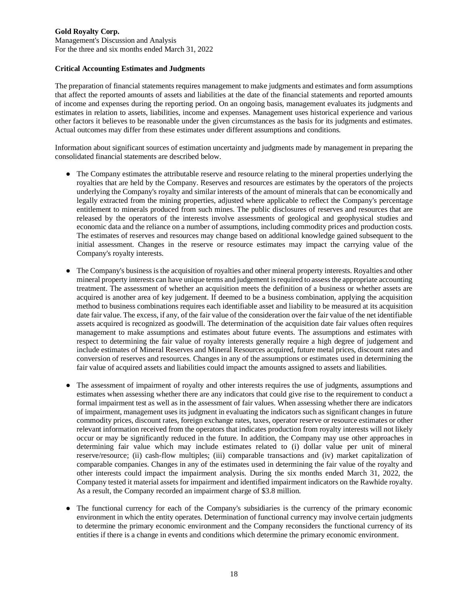Management's Discussion and Analysis For the three and six months ended March 31, 2022

## **Critical Accounting Estimates and Judgments**

The preparation of financial statements requires management to make judgments and estimates and form assumptions that affect the reported amounts of assets and liabilities at the date of the financial statements and reported amounts of income and expenses during the reporting period. On an ongoing basis, management evaluates its judgments and estimates in relation to assets, liabilities, income and expenses. Management uses historical experience and various other factors it believes to be reasonable under the given circumstances as the basis for its judgments and estimates. Actual outcomes may differ from these estimates under different assumptions and conditions.

Information about significant sources of estimation uncertainty and judgments made by management in preparing the consolidated financial statements are described below.

- The Company estimates the attributable reserve and resource relating to the mineral properties underlying the royalties that are held by the Company. Reserves and resources are estimates by the operators of the projects underlying the Company's royalty and similar interests of the amount of minerals that can be economically and legally extracted from the mining properties, adjusted where applicable to reflect the Company's percentage entitlement to minerals produced from such mines. The public disclosures of reserves and resources that are released by the operators of the interests involve assessments of geological and geophysical studies and economic data and the reliance on a number of assumptions, including commodity prices and production costs. The estimates of reserves and resources may change based on additional knowledge gained subsequent to the initial assessment. Changes in the reserve or resource estimates may impact the carrying value of the Company's royalty interests.
- The Company's business is the acquisition of royalties and other mineral property interests. Royalties and other mineral property interests can have unique terms and judgement is required to assess the appropriate accounting treatment. The assessment of whether an acquisition meets the definition of a business or whether assets are acquired is another area of key judgement. If deemed to be a business combination, applying the acquisition method to business combinations requires each identifiable asset and liability to be measured at its acquisition date fair value. The excess, if any, of the fair value of the consideration over the fair value of the net identifiable assets acquired is recognized as goodwill. The determination of the acquisition date fair values often requires management to make assumptions and estimates about future events. The assumptions and estimates with respect to determining the fair value of royalty interests generally require a high degree of judgement and include estimates of Mineral Reserves and Mineral Resources acquired, future metal prices, discount rates and conversion of reserves and resources. Changes in any of the assumptions or estimates used in determining the fair value of acquired assets and liabilities could impact the amounts assigned to assets and liabilities.
- The assessment of impairment of royalty and other interests requires the use of judgments, assumptions and estimates when assessing whether there are any indicators that could give rise to the requirement to conduct a formal impairment test as well as in the assessment of fair values. When assessing whether there are indicators of impairment, management uses its judgment in evaluating the indicators such as significant changes in future commodity prices, discount rates, foreign exchange rates, taxes, operator reserve or resource estimates or other relevant information received from the operators that indicates production from royalty interests will not likely occur or may be significantly reduced in the future. In addition, the Company may use other approaches in determining fair value which may include estimates related to (i) dollar value per unit of mineral reserve/resource; (ii) cash-flow multiples; (iii) comparable transactions and (iv) market capitalization of comparable companies. Changes in any of the estimates used in determining the fair value of the royalty and other interests could impact the impairment analysis. During the six months ended March 31, 2022, the Company tested it material assets for impairment and identified impairment indicators on the Rawhide royalty. As a result, the Company recorded an impairment charge of \$3.8 million.
- The functional currency for each of the Company's subsidiaries is the currency of the primary economic environment in which the entity operates. Determination of functional currency may involve certain judgments to determine the primary economic environment and the Company reconsiders the functional currency of its entities if there is a change in events and conditions which determine the primary economic environment.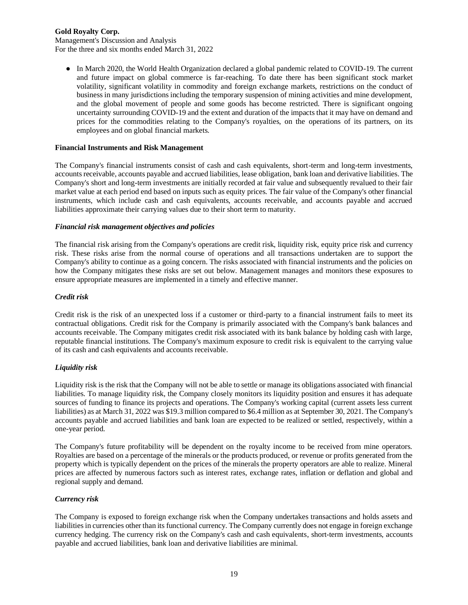Management's Discussion and Analysis For the three and six months ended March 31, 2022

● In March 2020, the World Health Organization declared a global pandemic related to COVID-19. The current and future impact on global commerce is far-reaching. To date there has been significant stock market volatility, significant volatility in commodity and foreign exchange markets, restrictions on the conduct of business in many jurisdictions including the temporary suspension of mining activities and mine development, and the global movement of people and some goods has become restricted. There is significant ongoing uncertainty surrounding COVID-19 and the extent and duration of the impacts that it may have on demand and prices for the commodities relating to the Company's royalties, on the operations of its partners, on its employees and on global financial markets.

#### **Financial Instruments and Risk Management**

The Company's financial instruments consist of cash and cash equivalents, short-term and long-term investments, accounts receivable, accounts payable and accrued liabilities, lease obligation, bank loan and derivative liabilities. The Company's short and long-term investments are initially recorded at fair value and subsequently revalued to their fair market value at each period end based on inputs such as equity prices. The fair value of the Company's other financial instruments, which include cash and cash equivalents, accounts receivable, and accounts payable and accrued liabilities approximate their carrying values due to their short term to maturity.

#### *Financial risk management objectives and policies*

The financial risk arising from the Company's operations are credit risk, liquidity risk, equity price risk and currency risk. These risks arise from the normal course of operations and all transactions undertaken are to support the Company's ability to continue as a going concern. The risks associated with financial instruments and the policies on how the Company mitigates these risks are set out below. Management manages and monitors these exposures to ensure appropriate measures are implemented in a timely and effective manner.

#### *Credit risk*

Credit risk is the risk of an unexpected loss if a customer or third-party to a financial instrument fails to meet its contractual obligations. Credit risk for the Company is primarily associated with the Company's bank balances and accounts receivable. The Company mitigates credit risk associated with its bank balance by holding cash with large, reputable financial institutions. The Company's maximum exposure to credit risk is equivalent to the carrying value of its cash and cash equivalents and accounts receivable.

## *Liquidity risk*

Liquidity risk is the risk that the Company will not be able to settle or manage its obligations associated with financial liabilities. To manage liquidity risk, the Company closely monitors its liquidity position and ensures it has adequate sources of funding to finance its projects and operations. The Company's working capital (current assets less current liabilities) as at March 31, 2022 was \$19.3 million compared to \$6.4 million as at September 30, 2021. The Company's accounts payable and accrued liabilities and bank loan are expected to be realized or settled, respectively, within a one-year period.

The Company's future profitability will be dependent on the royalty income to be received from mine operators. Royalties are based on a percentage of the minerals or the products produced, or revenue or profits generated from the property which is typically dependent on the prices of the minerals the property operators are able to realize. Mineral prices are affected by numerous factors such as interest rates, exchange rates, inflation or deflation and global and regional supply and demand.

## *Currency risk*

The Company is exposed to foreign exchange risk when the Company undertakes transactions and holds assets and liabilities in currencies other than its functional currency. The Company currently does not engage in foreign exchange currency hedging. The currency risk on the Company's cash and cash equivalents, short-term investments, accounts payable and accrued liabilities, bank loan and derivative liabilities are minimal.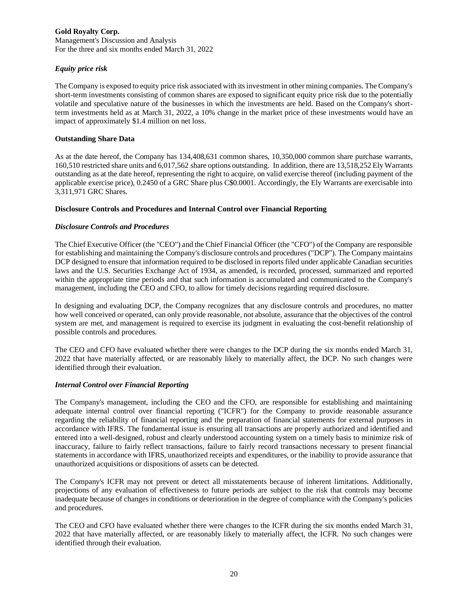Management's Discussion and Analysis For the three and six months ended March 31, 2022

## *Equity price risk*

The Company is exposed to equity price risk associated with its investment in other mining companies. The Company's short-term investments consisting of common shares are exposed to significant equity price risk due to the potentially volatile and speculative nature of the businesses in which the investments are held. Based on the Company's shortterm investments held as at March 31, 2022, a 10% change in the market price of these investments would have an impact of approximately \$1.4 million on net loss.

## **Outstanding Share Data**

As at the date hereof, the Company has 134,408,631 common shares, 10,350,000 common share purchase warrants, 160,510 restricted share units and 6,017,562 share options outstanding. In addition, there are 13,518,252 Ely Warrants outstanding as at the date hereof, representing the right to acquire, on valid exercise thereof (including payment of the applicable exercise price), 0.2450 of a GRC Share plus C\$0.0001. Accordingly, the Ely Warrants are exercisable into 3,311,971 GRC Shares.

# **Disclosure Controls and Procedures and Internal Control over Financial Reporting**

# *Disclosure Controls and Procedures*

The Chief Executive Officer (the "CEO") and the Chief Financial Officer (the "CFO") of the Company are responsible for establishing and maintaining the Company's disclosure controls and procedures ("DCP"). The Company maintains DCP designed to ensure that information required to be disclosed in reports filed under applicable Canadian securities laws and the U.S. Securities Exchange Act of 1934, as amended, is recorded, processed, summarized and reported within the appropriate time periods and that such information is accumulated and communicated to the Company's management, including the CEO and CFO, to allow for timely decisions regarding required disclosure.

In designing and evaluating DCP, the Company recognizes that any disclosure controls and procedures, no matter how well conceived or operated, can only provide reasonable, not absolute, assurance that the objectives of the control system are met, and management is required to exercise its judgment in evaluating the cost-benefit relationship of possible controls and procedures.

The CEO and CFO have evaluated whether there were changes to the DCP during the six months ended March 31, 2022 that have materially affected, or are reasonably likely to materially affect, the DCP. No such changes were identified through their evaluation.

## *Internal Control over Financial Reporting*

The Company's management, including the CEO and the CFO, are responsible for establishing and maintaining adequate internal control over financial reporting ("ICFR") for the Company to provide reasonable assurance regarding the reliability of financial reporting and the preparation of financial statements for external purposes in accordance with IFRS. The fundamental issue is ensuring all transactions are properly authorized and identified and entered into a well-designed, robust and clearly understood accounting system on a timely basis to minimize risk of inaccuracy, failure to fairly reflect transactions, failure to fairly record transactions necessary to present financial statements in accordance with IFRS, unauthorized receipts and expenditures, or the inability to provide assurance that unauthorized acquisitions or dispositions of assets can be detected.

The Company's ICFR may not prevent or detect all misstatements because of inherent limitations. Additionally, projections of any evaluation of effectiveness to future periods are subject to the risk that controls may become inadequate because of changes in conditions or deterioration in the degree of compliance with the Company's policies and procedures.

The CEO and CFO have evaluated whether there were changes to the ICFR during the six months ended March 31, 2022 that have materially affected, or are reasonably likely to materially affect, the ICFR. No such changes were identified through their evaluation.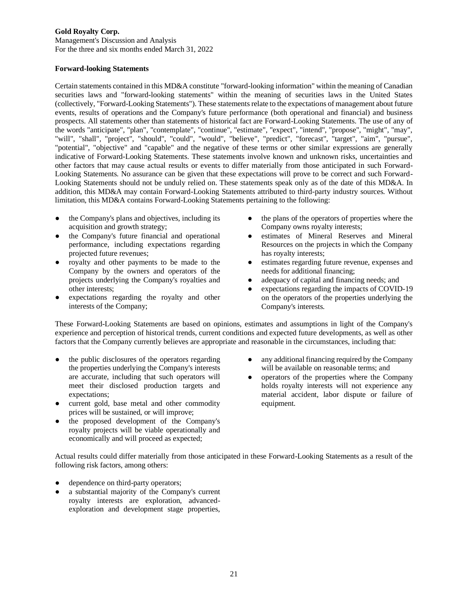Management's Discussion and Analysis For the three and six months ended March 31, 2022

#### **Forward-looking Statements**

Certain statements contained in this MD&A constitute "forward-looking information" within the meaning of Canadian securities laws and "forward-looking statements" within the meaning of securities laws in the United States (collectively, "Forward-Looking Statements"). These statements relate to the expectations of management about future events, results of operations and the Company's future performance (both operational and financial) and business prospects. All statements other than statements of historical fact are Forward-Looking Statements. The use of any of the words "anticipate", "plan", "contemplate", "continue", "estimate", "expect", "intend", "propose", "might", "may", "will", "shall", "project", "should", "could", "would", "believe", "predict", "forecast", "target", "aim", "pursue", "potential", "objective" and "capable" and the negative of these terms or other similar expressions are generally indicative of Forward-Looking Statements. These statements involve known and unknown risks, uncertainties and other factors that may cause actual results or events to differ materially from those anticipated in such Forward-Looking Statements. No assurance can be given that these expectations will prove to be correct and such Forward-Looking Statements should not be unduly relied on. These statements speak only as of the date of this MD&A. In addition, this MD&A may contain Forward-Looking Statements attributed to third-party industry sources. Without limitation, this MD&A contains Forward-Looking Statements pertaining to the following:

- the Company's plans and objectives, including its acquisition and growth strategy;
- the Company's future financial and operational performance, including expectations regarding projected future revenues;
- royalty and other payments to be made to the Company by the owners and operators of the projects underlying the Company's royalties and other interests;
- expectations regarding the royalty and other interests of the Company;
- the plans of the operators of properties where the Company owns royalty interests;
- estimates of Mineral Reserves and Mineral Resources on the projects in which the Company has royalty interests;
- estimates regarding future revenue, expenses and needs for additional financing;
- adequacy of capital and financing needs; and
- expectations regarding the impacts of COVID-19 on the operators of the properties underlying the Company's interests.

These Forward-Looking Statements are based on opinions, estimates and assumptions in light of the Company's experience and perception of historical trends, current conditions and expected future developments, as well as other factors that the Company currently believes are appropriate and reasonable in the circumstances, including that:

- the public disclosures of the operators regarding the properties underlying the Company's interests are accurate, including that such operators will meet their disclosed production targets and expectations;
- current gold, base metal and other commodity prices will be sustained, or will improve;
- the proposed development of the Company's royalty projects will be viable operationally and economically and will proceed as expected;
- any additional financing required by the Company will be available on reasonable terms; and
- operators of the properties where the Company holds royalty interests will not experience any material accident, labor dispute or failure of equipment.

Actual results could differ materially from those anticipated in these Forward-Looking Statements as a result of the following risk factors, among others:

- dependence on third-party operators;
- a substantial majority of the Company's current royalty interests are exploration, advancedexploration and development stage properties,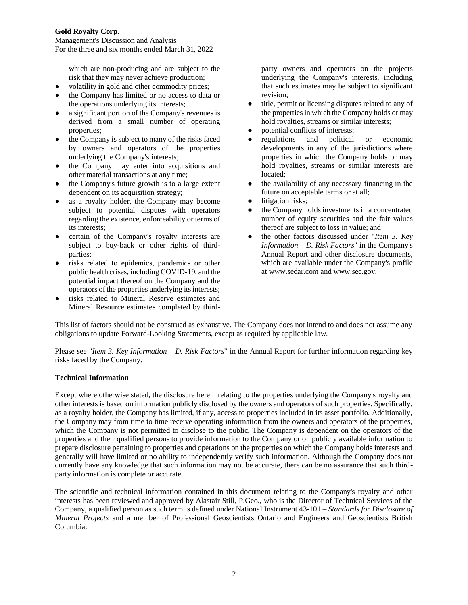Management's Discussion and Analysis For the three and six months ended March 31, 2022

which are non-producing and are subject to the risk that they may never achieve production;

- volatility in gold and other commodity prices;
- the Company has limited or no access to data or the operations underlying its interests;
- a significant portion of the Company's revenues is derived from a small number of operating properties;
- the Company is subject to many of the risks faced by owners and operators of the properties underlying the Company's interests;
- the Company may enter into acquisitions and other material transactions at any time;
- the Company's future growth is to a large extent dependent on its acquisition strategy;
- as a royalty holder, the Company may become subject to potential disputes with operators regarding the existence, enforceability or terms of its interests;
- certain of the Company's royalty interests are subject to buy-back or other rights of thirdparties;
- risks related to epidemics, pandemics or other public health crises, including COVID-19, and the potential impact thereof on the Company and the operators of the properties underlying its interests;
- risks related to Mineral Reserve estimates and Mineral Resource estimates completed by third-

party owners and operators on the projects underlying the Company's interests, including that such estimates may be subject to significant revision;

- title, permit or licensing disputes related to any of the properties in which the Company holds or may hold royalties, streams or similar interests;
- potential conflicts of interests;
- regulations and political or economic developments in any of the jurisdictions where properties in which the Company holds or may hold royalties, streams or similar interests are located;
- the availability of any necessary financing in the future on acceptable terms or at all;
- litigation risks;
- the Company holds investments in a concentrated number of equity securities and the fair values thereof are subject to loss in value; and
- the other factors discussed under "*Item 3. Key Information – D. Risk Factors*" in the Company's Annual Report and other disclosure documents, which are available under the Company's profile at www.sedar.com and www.sec.gov.

This list of factors should not be construed as exhaustive. The Company does not intend to and does not assume any obligations to update Forward-Looking Statements, except as required by applicable law.

Please see "*Item 3. Key Information – D. Risk Factors*" in the Annual Report for further information regarding key risks faced by the Company.

## **Technical Information**

Except where otherwise stated, the disclosure herein relating to the properties underlying the Company's royalty and other interests is based on information publicly disclosed by the owners and operators of such properties. Specifically, as a royalty holder, the Company has limited, if any, access to properties included in its asset portfolio. Additionally, the Company may from time to time receive operating information from the owners and operators of the properties, which the Company is not permitted to disclose to the public. The Company is dependent on the operators of the properties and their qualified persons to provide information to the Company or on publicly available information to prepare disclosure pertaining to properties and operations on the properties on which the Company holds interests and generally will have limited or no ability to independently verify such information. Although the Company does not currently have any knowledge that such information may not be accurate, there can be no assurance that such thirdparty information is complete or accurate.

The scientific and technical information contained in this document relating to the Company's royalty and other interests has been reviewed and approved by Alastair Still, P.Geo., who is the Director of Technical Services of the Company, a qualified person as such term is defined under National Instrument 43-101 – *Standards for Disclosure of Mineral Projects* and a member of Professional Geoscientists Ontario and Engineers and Geoscientists British Columbia.